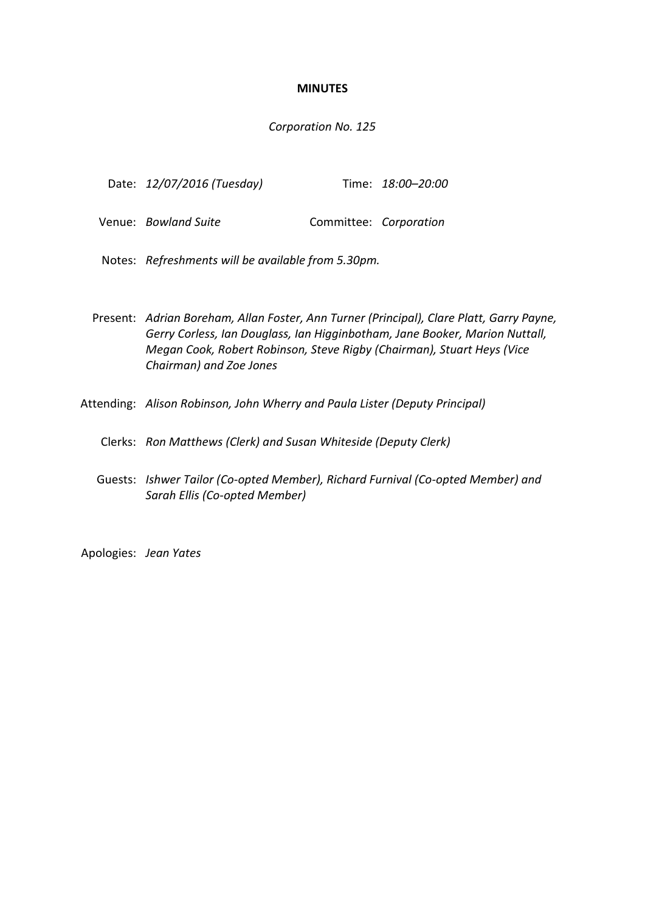#### **MINUTES**

#### *Corporation No. 125*

| Date: 12/07/2016 (Tuesday) |  | Time: 18:00-20:00 |
|----------------------------|--|-------------------|
|----------------------------|--|-------------------|

- Venue: *Bowland Suite* **Committee:** *Corporation*
- Notes: *Refreshments will be available from 5.30pm.*
- Present: *Adrian Boreham, Allan Foster, Ann Turner (Principal), Clare Platt, Garry Payne, Gerry Corless, Ian Douglass, Ian Higginbotham, Jane Booker, Marion Nuttall, Megan Cook, Robert Robinson, Steve Rigby (Chairman), Stuart Heys (Vice Chairman) and Zoe Jones*
- Attending: *Alison Robinson, John Wherry and Paula Lister (Deputy Principal)*
	- Clerks: *Ron Matthews (Clerk) and Susan Whiteside (Deputy Clerk)*
	- Guests: *Ishwer Tailor (Co-opted Member), Richard Furnival (Co-opted Member) and Sarah Ellis (Co-opted Member)*

Apologies: *Jean Yates*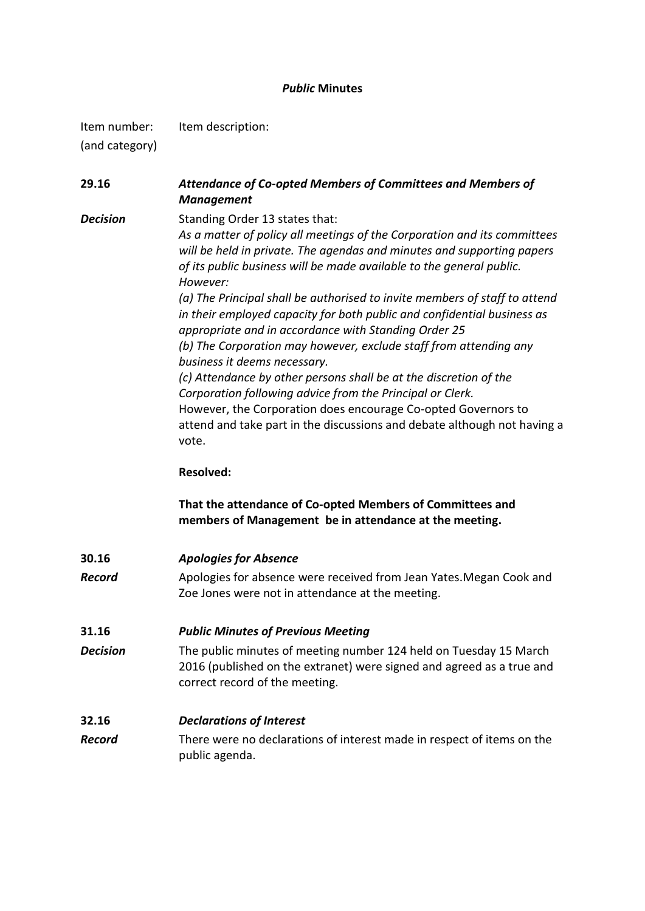### *Public* **Minutes**

Item number: Item description:

(and category)

**29.16** *Attendance of Co-opted Members of Committees and Members of Management* **Decision** Standing Order 13 states that:

*As a matter of policy all meetings of the Corporation and its committees will be held in private. The agendas and minutes and supporting papers of its public business will be made available to the general public. However:*

*(a) The Principal shall be authorised to invite members of staff to attend in their employed capacity for both public and confidential business as appropriate and in accordance with Standing Order 25 (b) The Corporation may however, exclude staff from attending any business it deems necessary. (c) Attendance by other persons shall be at the discretion of the Corporation following advice from the Principal or Clerk.* However, the Corporation does encourage Co-opted Governors to

attend and take part in the discussions and debate although not having a vote.

### **Resolved:**

**That the attendance of Co-opted Members of Committees and members of Management be in attendance at the meeting.**

**30.16** *Apologies for Absence* **Record** Apologies for absence were received from Jean Yates. Megan Cook and

## **31.16** *Public Minutes of Previous Meeting*

**Decision** The public minutes of meeting number 124 held on Tuesday 15 March 2016 (published on the extranet) were signed and agreed as a true and correct record of the meeting.

Zoe Jones were not in attendance at the meeting.

## **32.16** *Declarations of Interest*

*Record* There were no declarations of interest made in respect of items on the public agenda.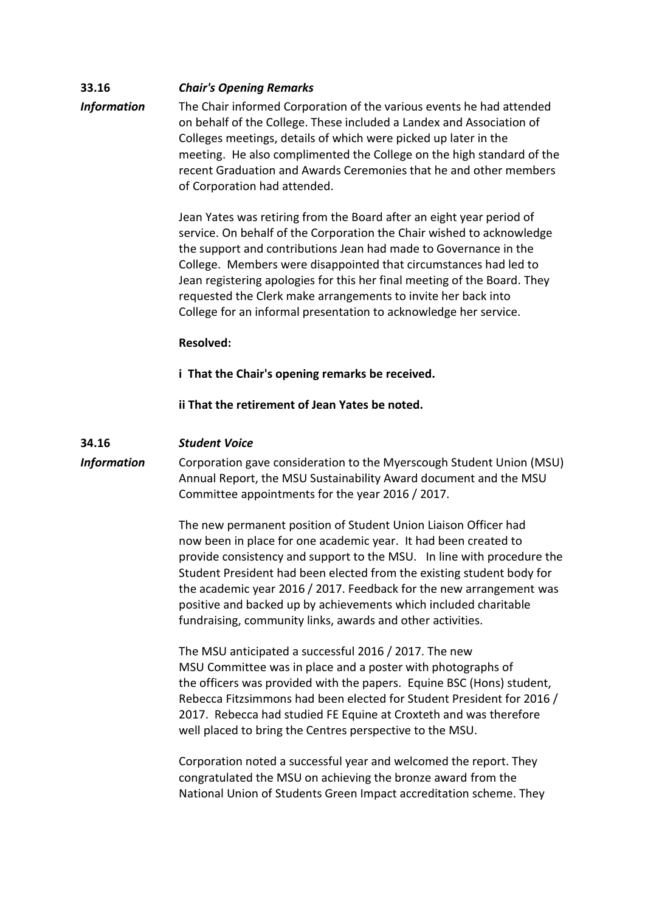## **33.16** *Chair's Opening Remarks Information* The Chair informed Corporation of the various events he had attended on behalf of the College. These included a Landex and Association of Colleges meetings, details of which were picked up later in the meeting. He also complimented the College on the high standard of the recent Graduation and Awards Ceremonies that he and other members of Corporation had attended.

Jean Yates was retiring from the Board after an eight year period of service. On behalf of the Corporation the Chair wished to acknowledge the support and contributions Jean had made to Governance in the College. Members were disappointed that circumstances had led to Jean registering apologies for this her final meeting of the Board. They requested the Clerk make arrangements to invite her back into College for an informal presentation to acknowledge her service.

### **Resolved:**

**i That the Chair's opening remarks be received.** 

**ii That the retirement of Jean Yates be noted.**

### **34.16** *Student Voice*

*Information* Corporation gave consideration to the Myerscough Student Union (MSU) Annual Report, the MSU Sustainability Award document and the MSU Committee appointments for the year 2016 / 2017.

> The new permanent position of Student Union Liaison Officer had now been in place for one academic year. It had been created to provide consistency and support to the MSU. In line with procedure the Student President had been elected from the existing student body for the academic year 2016 / 2017. Feedback for the new arrangement was positive and backed up by achievements which included charitable fundraising, community links, awards and other activities.

The MSU anticipated a successful 2016 / 2017. The new MSU Committee was in place and a poster with photographs of the officers was provided with the papers. Equine BSC (Hons) student, Rebecca Fitzsimmons had been elected for Student President for 2016 / 2017. Rebecca had studied FE Equine at Croxteth and was therefore well placed to bring the Centres perspective to the MSU.

Corporation noted a successful year and welcomed the report. They congratulated the MSU on achieving the bronze award from the National Union of Students Green Impact accreditation scheme. They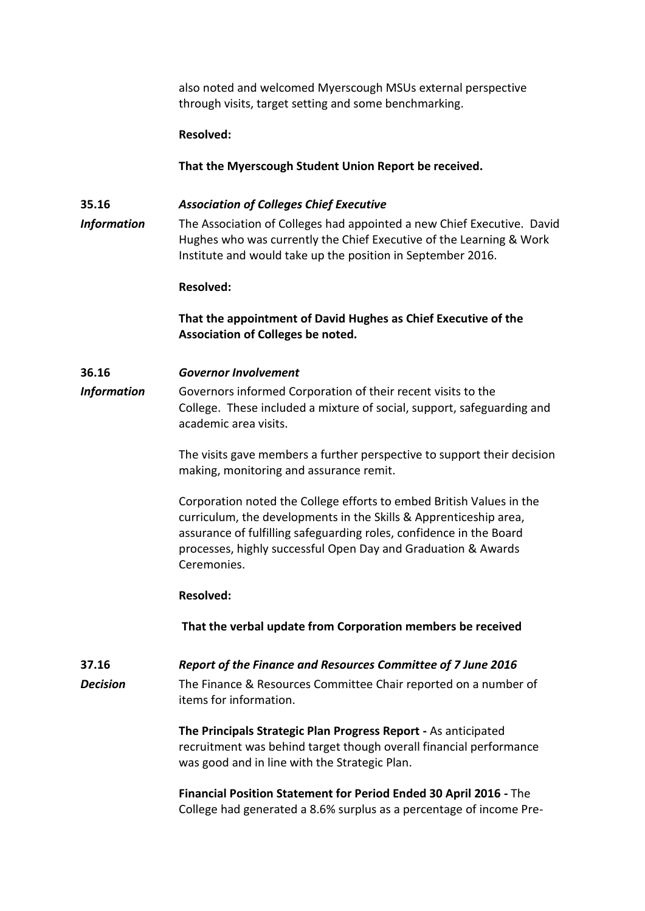also noted and welcomed Myerscough MSUs external perspective through visits, target setting and some benchmarking.

#### **Resolved:**

**That the Myerscough Student Union Report be received.**

### **35.16** *Association of Colleges Chief Executive*

*Information* The Association of Colleges had appointed a new Chief Executive. David Hughes who was currently the Chief Executive of the Learning & Work Institute and would take up the position in September 2016.

#### **Resolved:**

## **That the appointment of David Hughes as Chief Executive of the Association of Colleges be noted.**

### **36.16** *Governor Involvement*

*Information* Governors informed Corporation of their recent visits to the College. These included a mixture of social, support, safeguarding and academic area visits.

> The visits gave members a further perspective to support their decision making, monitoring and assurance remit.

Corporation noted the College efforts to embed British Values in the curriculum, the developments in the Skills & Apprenticeship area, assurance of fulfilling safeguarding roles, confidence in the Board processes, highly successful Open Day and Graduation & Awards Ceremonies.

#### **Resolved:**

**That the verbal update from Corporation members be received** 

### **37.16** *Report of the Finance and Resources Committee of 7 June 2016 Decision* The Finance & Resources Committee Chair reported on a number of items for information.

**The Principals Strategic Plan Progress Report -** As anticipated recruitment was behind target though overall financial performance was good and in line with the Strategic Plan.

**Financial Position Statement for Period Ended 30 April 2016 -** The College had generated a 8.6% surplus as a percentage of income Pre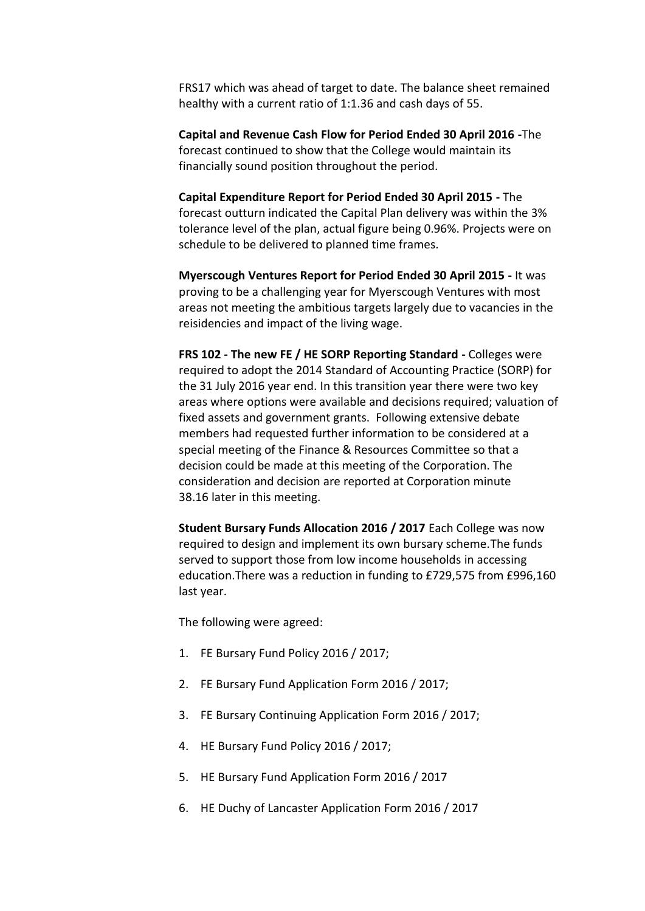FRS17 which was ahead of target to date. The balance sheet remained healthy with a current ratio of 1:1.36 and cash days of 55.

**Capital and Revenue Cash Flow for Period Ended 30 April 2016 -**The forecast continued to show that the College would maintain its financially sound position throughout the period.

**Capital Expenditure Report for Period Ended 30 April 2015 -** The forecast outturn indicated the Capital Plan delivery was within the 3% tolerance level of the plan, actual figure being 0.96%. Projects were on schedule to be delivered to planned time frames.

**Myerscough Ventures Report for Period Ended 30 April 2015 -** It was proving to be a challenging year for Myerscough Ventures with most areas not meeting the ambitious targets largely due to vacancies in the reisidencies and impact of the living wage.

**FRS 102 - The new FE / HE SORP Reporting Standard -** Colleges were required to adopt the 2014 Standard of Accounting Practice (SORP) for the 31 July 2016 year end. In this transition year there were two key areas where options were available and decisions required; valuation of fixed assets and government grants. Following extensive debate members had requested further information to be considered at a special meeting of the Finance & Resources Committee so that a decision could be made at this meeting of the Corporation. The consideration and decision are reported at Corporation minute 38.16 later in this meeting.

**Student Bursary Funds Allocation 2016 / 2017** Each College was now required to design and implement its own bursary scheme.The funds served to support those from low income households in accessing education.There was a reduction in funding to £729,575 from £996,160 last year.

The following were agreed:

- 1. FE Bursary Fund Policy 2016 / 2017;
- 2. FE Bursary Fund Application Form 2016 / 2017;
- 3. FE Bursary Continuing Application Form 2016 / 2017;
- 4. HE Bursary Fund Policy 2016 / 2017;
- 5. HE Bursary Fund Application Form 2016 / 2017
- 6. HE Duchy of Lancaster Application Form 2016 / 2017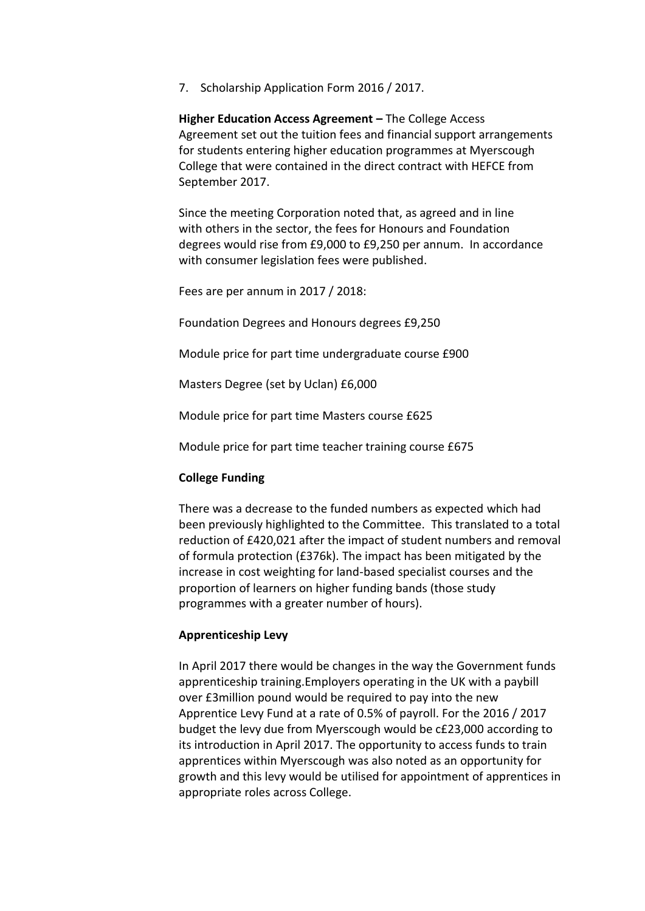7. Scholarship Application Form 2016 / 2017.

**Higher Education Access Agreement – The College Access** Agreement set out the tuition fees and financial support arrangements for students entering higher education programmes at Myerscough College that were contained in the direct contract with HEFCE from September 2017.

Since the meeting Corporation noted that, as agreed and in line with others in the sector, the fees for Honours and Foundation degrees would rise from £9,000 to £9,250 per annum. In accordance with consumer legislation fees were published.

Fees are per annum in 2017 / 2018:

Foundation Degrees and Honours degrees £9,250

Module price for part time undergraduate course £900

Masters Degree (set by Uclan) £6,000

Module price for part time Masters course £625

Module price for part time teacher training course £675

#### **College Funding**

There was a decrease to the funded numbers as expected which had been previously highlighted to the Committee. This translated to a total reduction of £420,021 after the impact of student numbers and removal of formula protection (£376k). The impact has been mitigated by the increase in cost weighting for land-based specialist courses and the proportion of learners on higher funding bands (those study programmes with a greater number of hours).

#### **Apprenticeship Levy**

In April 2017 there would be changes in the way the Government funds apprenticeship training.Employers operating in the UK with a paybill over £3million pound would be required to pay into the new Apprentice Levy Fund at a rate of 0.5% of payroll. For the 2016 / 2017 budget the levy due from Myerscough would be c£23,000 according to its introduction in April 2017. The opportunity to access funds to train apprentices within Myerscough was also noted as an opportunity for growth and this levy would be utilised for appointment of apprentices in appropriate roles across College.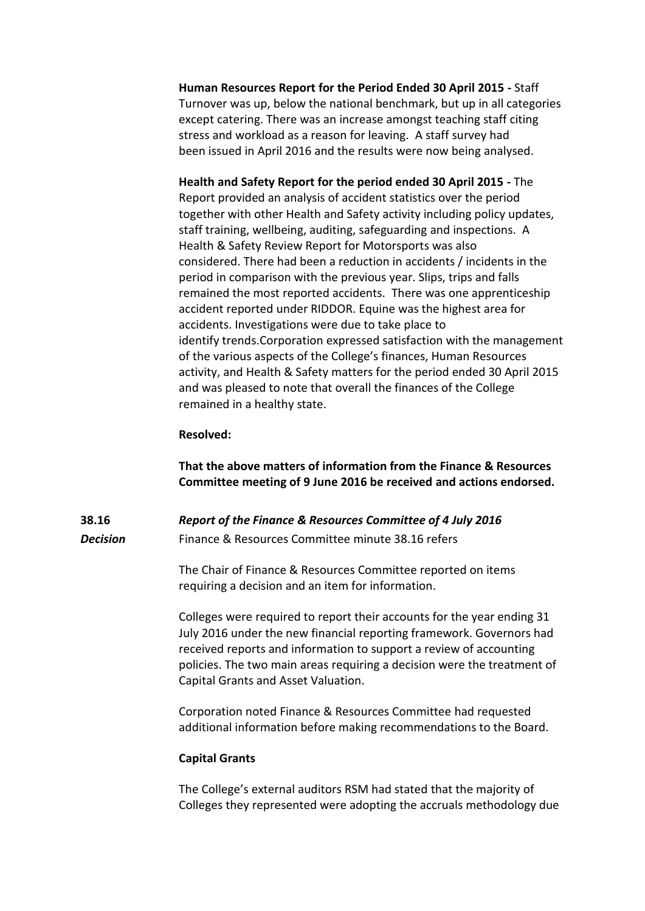**Human Resources Report for the Period Ended 30 April 2015 -** Staff Turnover was up, below the national benchmark, but up in all categories except catering. There was an increase amongst teaching staff citing stress and workload as a reason for leaving. A staff survey had been issued in April 2016 and the results were now being analysed.

**Health and Safety Report for the period ended 30 April 2015 -** The Report provided an analysis of accident statistics over the period together with other Health and Safety activity including policy updates, staff training, wellbeing, auditing, safeguarding and inspections. A Health & Safety Review Report for Motorsports was also considered. There had been a reduction in accidents / incidents in the period in comparison with the previous year. Slips, trips and falls remained the most reported accidents. There was one apprenticeship accident reported under RIDDOR. Equine was the highest area for accidents. Investigations were due to take place to identify trends.Corporation expressed satisfaction with the management of the various aspects of the College's finances, Human Resources activity, and Health & Safety matters for the period ended 30 April 2015 and was pleased to note that overall the finances of the College remained in a healthy state.

#### **Resolved:**

**That the above matters of information from the Finance & Resources Committee meeting of 9 June 2016 be received and actions endorsed.**

#### **38.16** *Report of the Finance & Resources Committee of 4 July 2016*

# *Decision* Finance & Resources Committee minute 38.16 refers

The Chair of Finance & Resources Committee reported on items requiring a decision and an item for information.

Colleges were required to report their accounts for the year ending 31 July 2016 under the new financial reporting framework. Governors had received reports and information to support a review of accounting policies. The two main areas requiring a decision were the treatment of Capital Grants and Asset Valuation.

Corporation noted Finance & Resources Committee had requested additional information before making recommendations to the Board.

#### **Capital Grants**

The College's external auditors RSM had stated that the majority of Colleges they represented were adopting the accruals methodology due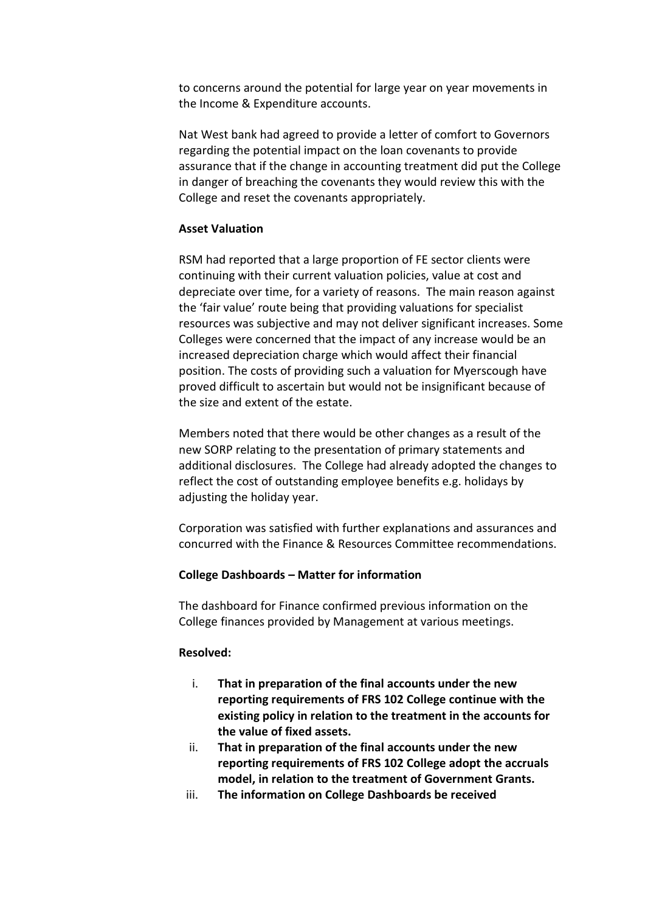to concerns around the potential for large year on year movements in the Income & Expenditure accounts.

Nat West bank had agreed to provide a letter of comfort to Governors regarding the potential impact on the loan covenants to provide assurance that if the change in accounting treatment did put the College in danger of breaching the covenants they would review this with the College and reset the covenants appropriately.

### **Asset Valuation**

RSM had reported that a large proportion of FE sector clients were continuing with their current valuation policies, value at cost and depreciate over time, for a variety of reasons. The main reason against the 'fair value' route being that providing valuations for specialist resources was subjective and may not deliver significant increases. Some Colleges were concerned that the impact of any increase would be an increased depreciation charge which would affect their financial position. The costs of providing such a valuation for Myerscough have proved difficult to ascertain but would not be insignificant because of the size and extent of the estate.

Members noted that there would be other changes as a result of the new SORP relating to the presentation of primary statements and additional disclosures. The College had already adopted the changes to reflect the cost of outstanding employee benefits e.g. holidays by adjusting the holiday year.

Corporation was satisfied with further explanations and assurances and concurred with the Finance & Resources Committee recommendations.

### **College Dashboards – Matter for information**

The dashboard for Finance confirmed previous information on the College finances provided by Management at various meetings.

### **Resolved:**

- i. **That in preparation of the final accounts under the new reporting requirements of FRS 102 College continue with the existing policy in relation to the treatment in the accounts for the value of fixed assets.**
- ii. **That in preparation of the final accounts under the new reporting requirements of FRS 102 College adopt the accruals model, in relation to the treatment of Government Grants.**
- iii. **The information on College Dashboards be received**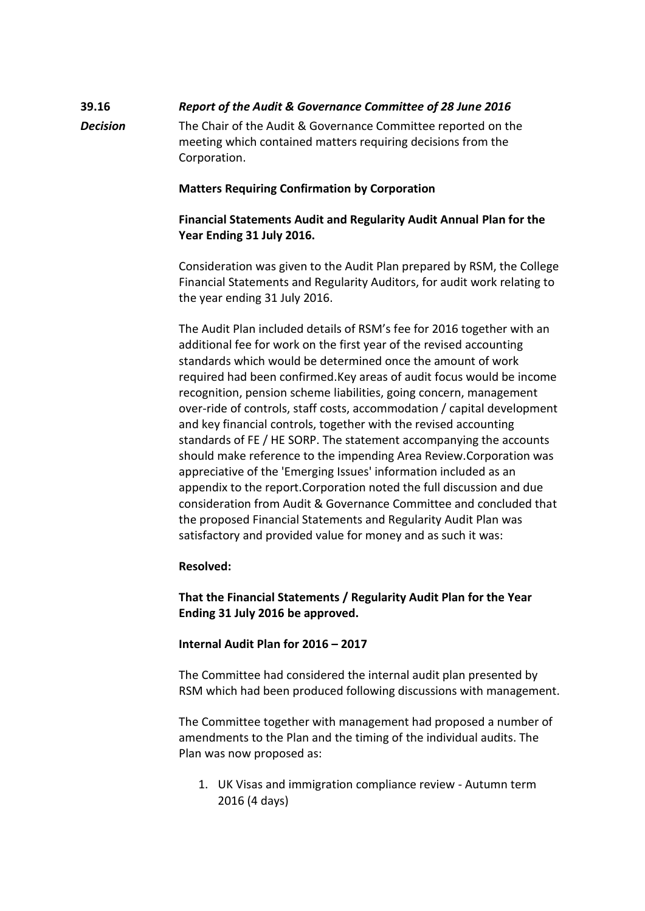## **39.16** *Report of the Audit & Governance Committee of 28 June 2016 Decision* The Chair of the Audit & Governance Committee reported on the meeting which contained matters requiring decisions from the Corporation.

### **Matters Requiring Confirmation by Corporation**

## **Financial Statements Audit and Regularity Audit Annual Plan for the Year Ending 31 July 2016.**

Consideration was given to the Audit Plan prepared by RSM, the College Financial Statements and Regularity Auditors, for audit work relating to the year ending 31 July 2016.

The Audit Plan included details of RSM's fee for 2016 together with an additional fee for work on the first year of the revised accounting standards which would be determined once the amount of work required had been confirmed.Key areas of audit focus would be income recognition, pension scheme liabilities, going concern, management over-ride of controls, staff costs, accommodation / capital development and key financial controls, together with the revised accounting standards of FE / HE SORP. The statement accompanying the accounts should make reference to the impending Area Review.Corporation was appreciative of the 'Emerging Issues' information included as an appendix to the report.Corporation noted the full discussion and due consideration from Audit & Governance Committee and concluded that the proposed Financial Statements and Regularity Audit Plan was satisfactory and provided value for money and as such it was:

### **Resolved:**

**That the Financial Statements / Regularity Audit Plan for the Year Ending 31 July 2016 be approved.**

### **Internal Audit Plan for 2016 – 2017**

The Committee had considered the internal audit plan presented by RSM which had been produced following discussions with management.

The Committee together with management had proposed a number of amendments to the Plan and the timing of the individual audits. The Plan was now proposed as:

1. UK Visas and immigration compliance review - Autumn term 2016 (4 days)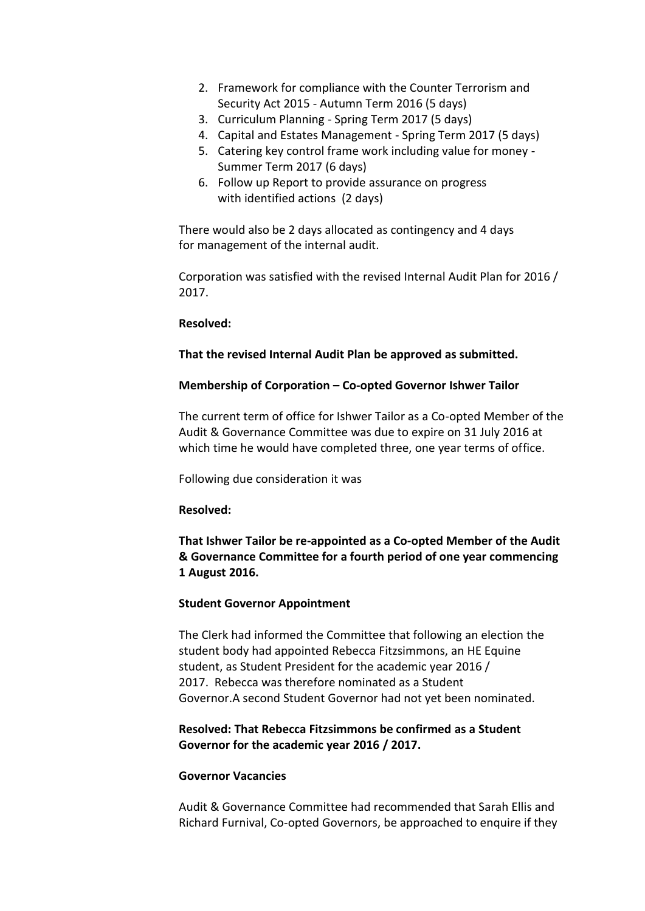- 2. Framework for compliance with the Counter Terrorism and Security Act 2015 - Autumn Term 2016 (5 days)
- 3. Curriculum Planning Spring Term 2017 (5 days)
- 4. Capital and Estates Management Spring Term 2017 (5 days)
- 5. Catering key control frame work including value for money Summer Term 2017 (6 days)
- 6. Follow up Report to provide assurance on progress with identified actions (2 days)

There would also be 2 days allocated as contingency and 4 days for management of the internal audit.

Corporation was satisfied with the revised Internal Audit Plan for 2016 / 2017.

#### **Resolved:**

### **That the revised Internal Audit Plan be approved as submitted.**

#### **Membership of Corporation – Co-opted Governor Ishwer Tailor**

The current term of office for Ishwer Tailor as a Co-opted Member of the Audit & Governance Committee was due to expire on 31 July 2016 at which time he would have completed three, one year terms of office.

Following due consideration it was

### **Resolved:**

**That Ishwer Tailor be re-appointed as a Co-opted Member of the Audit & Governance Committee for a fourth period of one year commencing 1 August 2016.**

### **Student Governor Appointment**

The Clerk had informed the Committee that following an election the student body had appointed Rebecca Fitzsimmons, an HE Equine student, as Student President for the academic year 2016 / 2017. Rebecca was therefore nominated as a Student Governor.A second Student Governor had not yet been nominated.

### **Resolved: That Rebecca Fitzsimmons be confirmed as a Student Governor for the academic year 2016 / 2017.**

#### **Governor Vacancies**

Audit & Governance Committee had recommended that Sarah Ellis and Richard Furnival, Co-opted Governors, be approached to enquire if they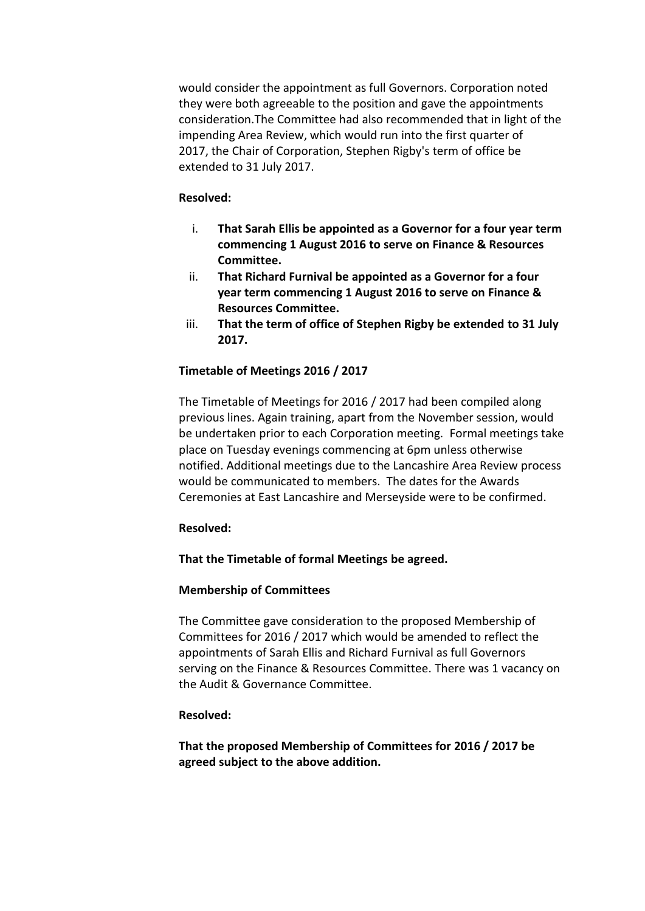would consider the appointment as full Governors. Corporation noted they were both agreeable to the position and gave the appointments consideration.The Committee had also recommended that in light of the impending Area Review, which would run into the first quarter of 2017, the Chair of Corporation, Stephen Rigby's term of office be extended to 31 July 2017.

#### **Resolved:**

- i. **That Sarah Ellis be appointed as a Governor for a four year term commencing 1 August 2016 to serve on Finance & Resources Committee.**
- ii. **That Richard Furnival be appointed as a Governor for a four year term commencing 1 August 2016 to serve on Finance & Resources Committee.**
- iii. **That the term of office of Stephen Rigby be extended to 31 July 2017.**

### **Timetable of Meetings 2016 / 2017**

The Timetable of Meetings for 2016 / 2017 had been compiled along previous lines. Again training, apart from the November session, would be undertaken prior to each Corporation meeting. Formal meetings take place on Tuesday evenings commencing at 6pm unless otherwise notified. Additional meetings due to the Lancashire Area Review process would be communicated to members. The dates for the Awards Ceremonies at East Lancashire and Merseyside were to be confirmed.

### **Resolved:**

### **That the Timetable of formal Meetings be agreed.**

### **Membership of Committees**

The Committee gave consideration to the proposed Membership of Committees for 2016 / 2017 which would be amended to reflect the appointments of Sarah Ellis and Richard Furnival as full Governors serving on the Finance & Resources Committee. There was 1 vacancy on the Audit & Governance Committee.

### **Resolved:**

**That the proposed Membership of Committees for 2016 / 2017 be agreed subject to the above addition.**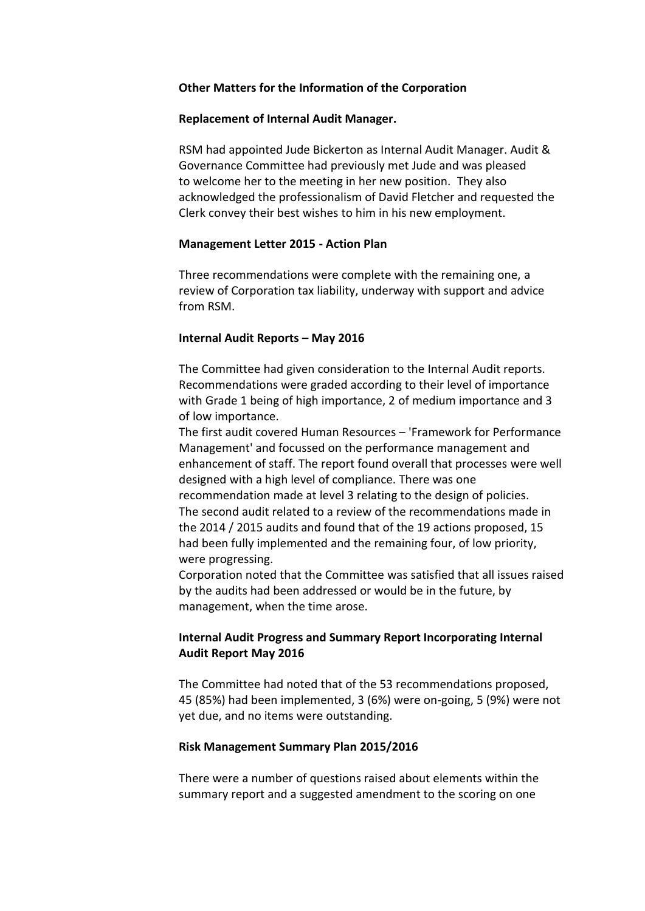#### **Other Matters for the Information of the Corporation**

#### **Replacement of Internal Audit Manager.**

RSM had appointed Jude Bickerton as Internal Audit Manager. Audit & Governance Committee had previously met Jude and was pleased to welcome her to the meeting in her new position. They also acknowledged the professionalism of David Fletcher and requested the Clerk convey their best wishes to him in his new employment.

#### **Management Letter 2015 - Action Plan**

Three recommendations were complete with the remaining one, a review of Corporation tax liability, underway with support and advice from RSM.

#### **Internal Audit Reports – May 2016**

The Committee had given consideration to the Internal Audit reports. Recommendations were graded according to their level of importance with Grade 1 being of high importance, 2 of medium importance and 3 of low importance.

The first audit covered Human Resources – 'Framework for Performance Management' and focussed on the performance management and enhancement of staff. The report found overall that processes were well designed with a high level of compliance. There was one recommendation made at level 3 relating to the design of policies. The second audit related to a review of the recommendations made in the 2014 / 2015 audits and found that of the 19 actions proposed, 15 had been fully implemented and the remaining four, of low priority, were progressing.

Corporation noted that the Committee was satisfied that all issues raised by the audits had been addressed or would be in the future, by management, when the time arose.

### **Internal Audit Progress and Summary Report Incorporating Internal Audit Report May 2016**

The Committee had noted that of the 53 recommendations proposed, 45 (85%) had been implemented, 3 (6%) were on-going, 5 (9%) were not yet due, and no items were outstanding.

#### **Risk Management Summary Plan 2015/2016**

There were a number of questions raised about elements within the summary report and a suggested amendment to the scoring on one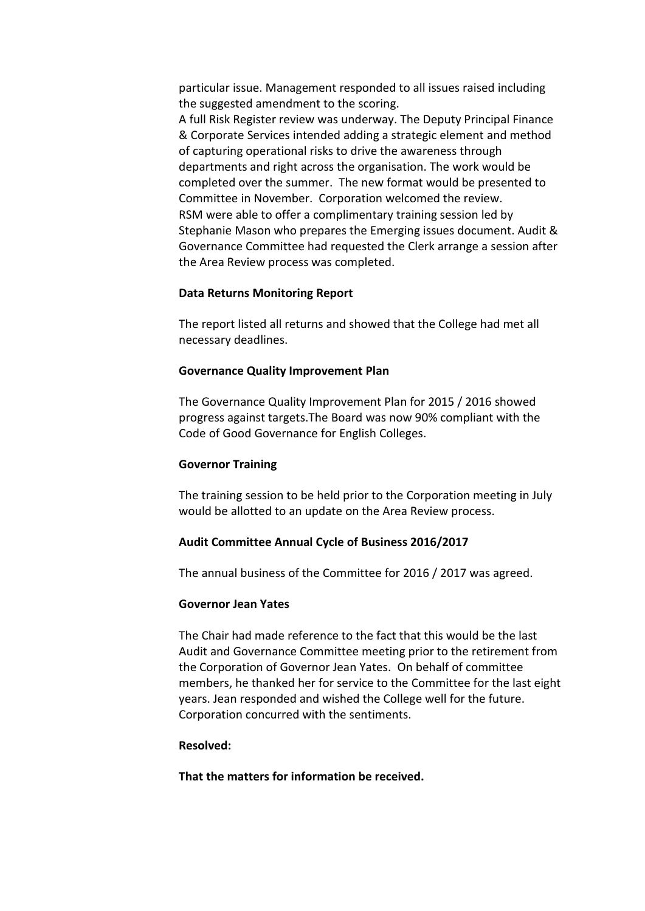particular issue. Management responded to all issues raised including the suggested amendment to the scoring.

A full Risk Register review was underway. The Deputy Principal Finance & Corporate Services intended adding a strategic element and method of capturing operational risks to drive the awareness through departments and right across the organisation. The work would be completed over the summer. The new format would be presented to Committee in November. Corporation welcomed the review. RSM were able to offer a complimentary training session led by Stephanie Mason who prepares the Emerging issues document. Audit & Governance Committee had requested the Clerk arrange a session after the Area Review process was completed.

#### **Data Returns Monitoring Report**

The report listed all returns and showed that the College had met all necessary deadlines.

#### **Governance Quality Improvement Plan**

The Governance Quality Improvement Plan for 2015 / 2016 showed progress against targets.The Board was now 90% compliant with the Code of Good Governance for English Colleges.

#### **Governor Training**

The training session to be held prior to the Corporation meeting in July would be allotted to an update on the Area Review process.

#### **Audit Committee Annual Cycle of Business 2016/2017**

The annual business of the Committee for 2016 / 2017 was agreed.

#### **Governor Jean Yates**

The Chair had made reference to the fact that this would be the last Audit and Governance Committee meeting prior to the retirement from the Corporation of Governor Jean Yates. On behalf of committee members, he thanked her for service to the Committee for the last eight years. Jean responded and wished the College well for the future. Corporation concurred with the sentiments.

#### **Resolved:**

**That the matters for information be received.**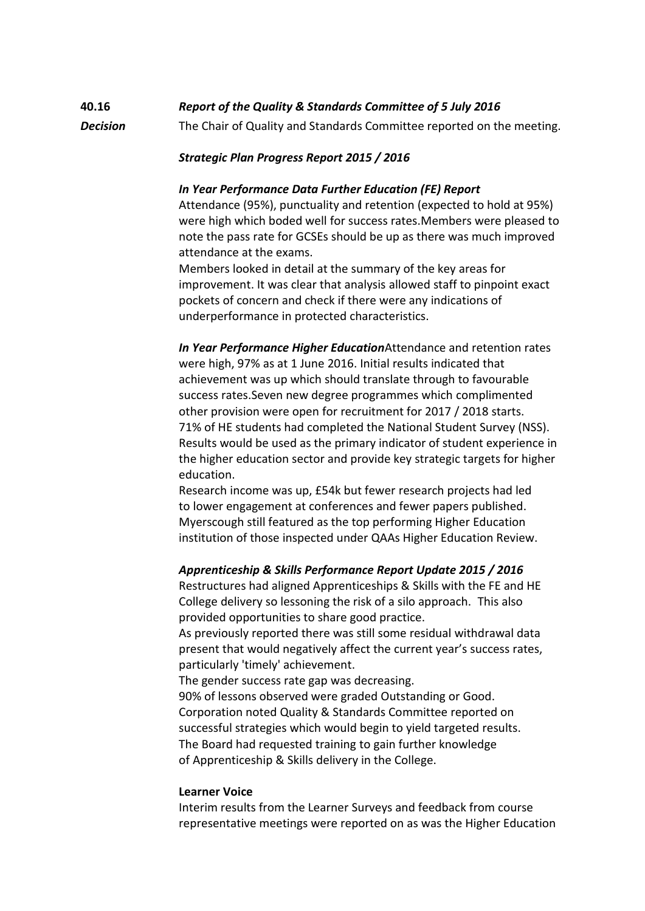## **40.16** *Report of the Quality & Standards Committee of 5 July 2016 Decision* The Chair of Quality and Standards Committee reported on the meeting.

### *Strategic Plan Progress Report 2015 / 2016*

#### *In Year Performance Data Further Education (FE) Report*

Attendance (95%), punctuality and retention (expected to hold at 95%) were high which boded well for success rates.Members were pleased to note the pass rate for GCSEs should be up as there was much improved attendance at the exams.

Members looked in detail at the summary of the key areas for improvement. It was clear that analysis allowed staff to pinpoint exact pockets of concern and check if there were any indications of underperformance in protected characteristics.

*In Year Performance Higher Education*Attendance and retention rates were high, 97% as at 1 June 2016. Initial results indicated that achievement was up which should translate through to favourable success rates.Seven new degree programmes which complimented other provision were open for recruitment for 2017 / 2018 starts. 71% of HE students had completed the National Student Survey (NSS). Results would be used as the primary indicator of student experience in the higher education sector and provide key strategic targets for higher education.

Research income was up, £54k but fewer research projects had led to lower engagement at conferences and fewer papers published. Myerscough still featured as the top performing Higher Education institution of those inspected under QAAs Higher Education Review.

#### *Apprenticeship & Skills Performance Report Update 2015 / 2016*

Restructures had aligned Apprenticeships & Skills with the FE and HE College delivery so lessoning the risk of a silo approach. This also provided opportunities to share good practice.

As previously reported there was still some residual withdrawal data present that would negatively affect the current year's success rates, particularly 'timely' achievement.

The gender success rate gap was decreasing.

90% of lessons observed were graded Outstanding or Good. Corporation noted Quality & Standards Committee reported on successful strategies which would begin to yield targeted results. The Board had requested training to gain further knowledge of Apprenticeship & Skills delivery in the College.

#### **Learner Voice**

Interim results from the Learner Surveys and feedback from course representative meetings were reported on as was the Higher Education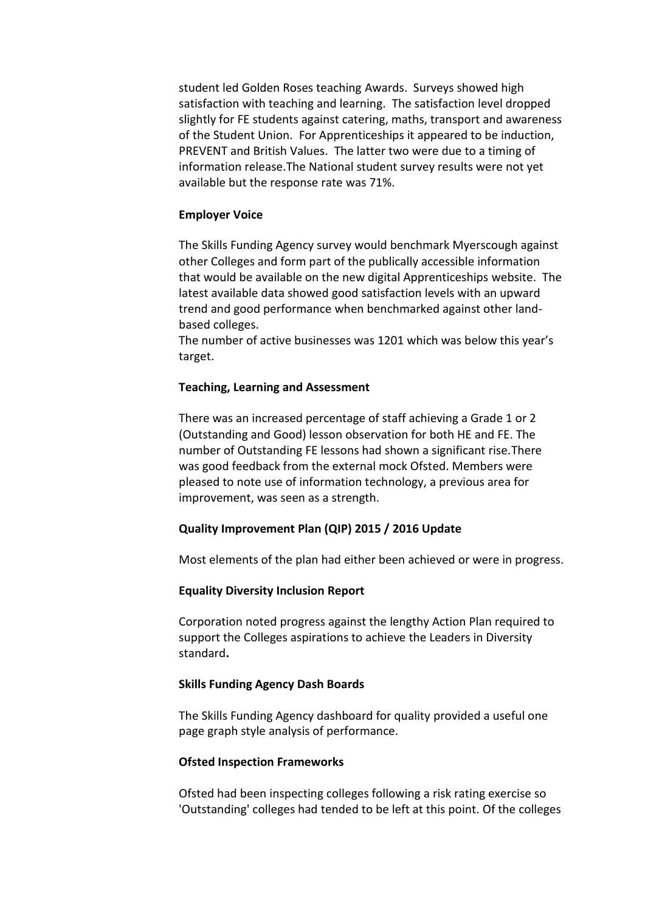student led Golden Roses teaching Awards. Surveys showed high satisfaction with teaching and learning. The satisfaction level dropped slightly for FE students against catering, maths, transport and awareness of the Student Union. For Apprenticeships it appeared to be induction, PREVENT and British Values. The latter two were due to a timing of information release.The National student survey results were not yet available but the response rate was 71%.

#### **Employer Voice**

The Skills Funding Agency survey would benchmark Myerscough against other Colleges and form part of the publically accessible information that would be available on the new digital Apprenticeships website. The latest available data showed good satisfaction levels with an upward trend and good performance when benchmarked against other landbased colleges.

The number of active businesses was 1201 which was below this year's target.

#### **Teaching, Learning and Assessment**

There was an increased percentage of staff achieving a Grade 1 or 2 (Outstanding and Good) lesson observation for both HE and FE. The number of Outstanding FE lessons had shown a significant rise.There was good feedback from the external mock Ofsted. Members were pleased to note use of information technology, a previous area for improvement, was seen as a strength.

### **Quality Improvement Plan (QIP) 2015 / 2016 Update**

Most elements of the plan had either been achieved or were in progress.

#### **Equality Diversity Inclusion Report**

Corporation noted progress against the lengthy Action Plan required to support the Colleges aspirations to achieve the Leaders in Diversity standard**.**

#### **Skills Funding Agency Dash Boards**

The Skills Funding Agency dashboard for quality provided a useful one page graph style analysis of performance.

#### **Ofsted Inspection Frameworks**

Ofsted had been inspecting colleges following a risk rating exercise so 'Outstanding' colleges had tended to be left at this point. Of the colleges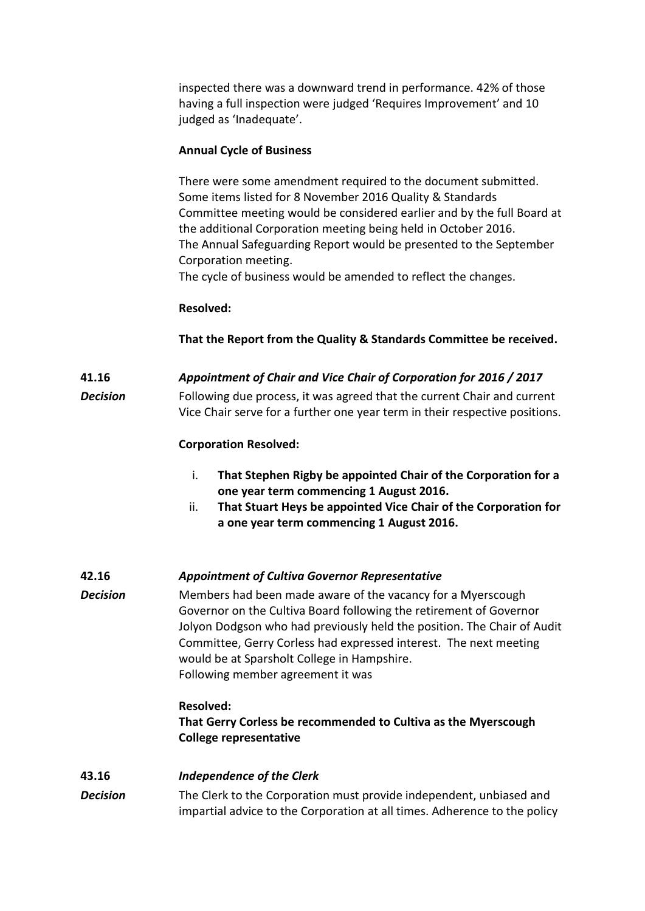inspected there was a downward trend in performance. 42% of those having a full inspection were judged 'Requires Improvement' and 10 judged as 'Inadequate'.

### **Annual Cycle of Business**

There were some amendment required to the document submitted. Some items listed for 8 November 2016 Quality & Standards Committee meeting would be considered earlier and by the full Board at the additional Corporation meeting being held in October 2016. The Annual Safeguarding Report would be presented to the September Corporation meeting.

The cycle of business would be amended to reflect the changes.

#### **Resolved:**

**That the Report from the Quality & Standards Committee be received.**

### **41.16** *Appointment of Chair and Vice Chair of Corporation for 2016 / 2017*

*Decision* Following due process, it was agreed that the current Chair and current Vice Chair serve for a further one year term in their respective positions.

### **Corporation Resolved:**

- i. **That Stephen Rigby be appointed Chair of the Corporation for a one year term commencing 1 August 2016.**
- ii. **That Stuart Heys be appointed Vice Chair of the Corporation for a one year term commencing 1 August 2016.**

#### **42.16** *Appointment of Cultiva Governor Representative*

*Decision* Members had been made aware of the vacancy for a Myerscough Governor on the Cultiva Board following the retirement of Governor Jolyon Dodgson who had previously held the position. The Chair of Audit Committee, Gerry Corless had expressed interest. The next meeting would be at Sparsholt College in Hampshire. Following member agreement it was

#### **Resolved:**

**That Gerry Corless be recommended to Cultiva as the Myerscough College representative**

#### **43.16** *Independence of the Clerk*

*Decision* The Clerk to the Corporation must provide independent, unbiased and impartial advice to the Corporation at all times. Adherence to the policy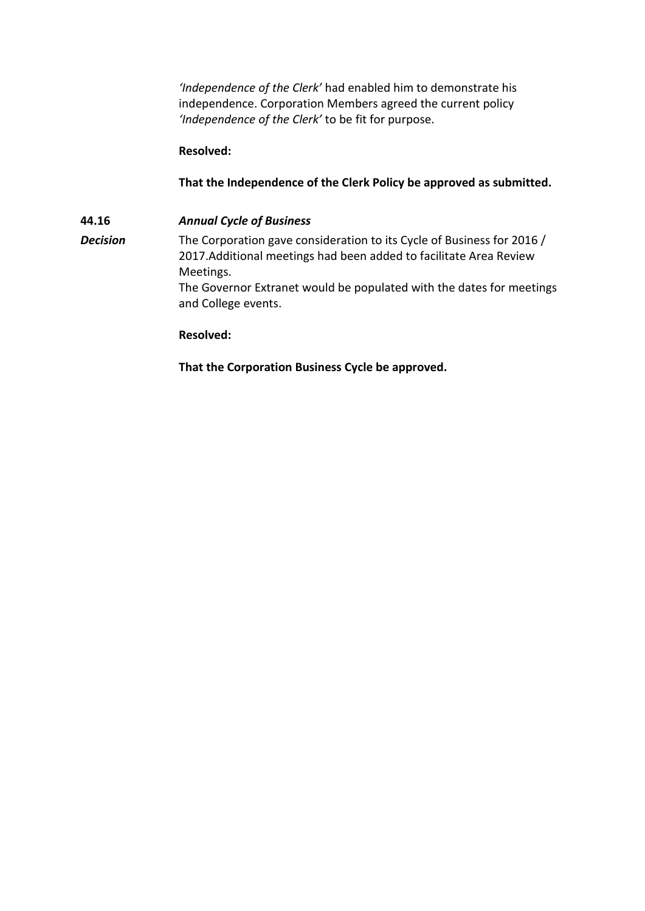*'Independence of the Clerk'* had enabled him to demonstrate his independence. Corporation Members agreed the current policy *'Independence of the Clerk'* to be fit for purpose.

### **Resolved:**

### **That the Independence of the Clerk Policy be approved as submitted.**

**44.16** *Annual Cycle of Business* **Decision** The Corporation gave consideration to its Cycle of Business for 2016 / 2017.Additional meetings had been added to facilitate Area Review Meetings. The Governor Extranet would be populated with the dates for meetings and College events.

#### **Resolved:**

**That the Corporation Business Cycle be approved.**